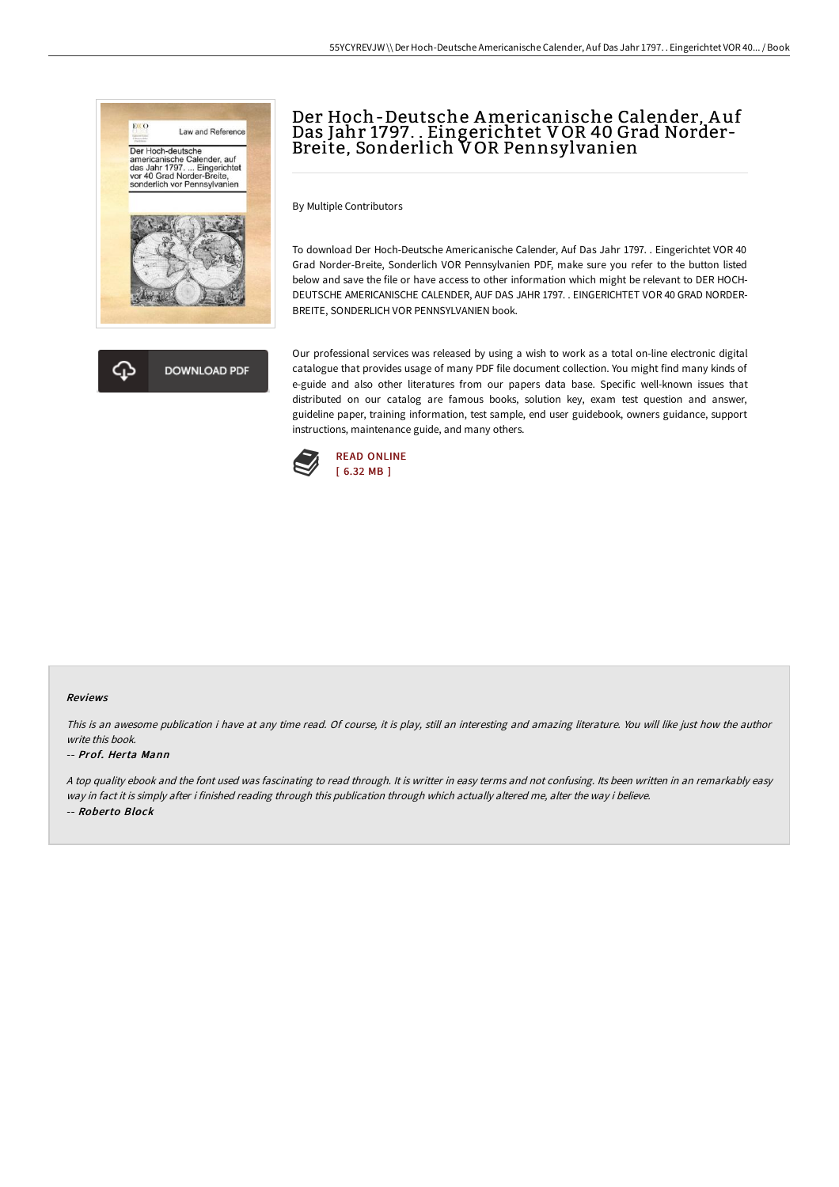



# Der Hoch-Deutsche Americanische Calender, A uf Das Jahr 1797. . Eingerichtet V OR 40 Grad Norder-Breite, Sonderlich V OR Pennsylvanien

By Multiple Contributors

To download Der Hoch-Deutsche Americanische Calender, Auf Das Jahr 1797. . Eingerichtet VOR 40 Grad Norder-Breite, Sonderlich VOR Pennsylvanien PDF, make sure you refer to the button listed below and save the file or have access to other information which might be relevant to DER HOCH-DEUTSCHE AMERICANISCHE CALENDER, AUF DAS JAHR 1797. . EINGERICHTET VOR 40 GRAD NORDER-BREITE, SONDERLICH VOR PENNSYLVANIEN book.

Our professional services was released by using a wish to work as a total on-line electronic digital catalogue that provides usage of many PDF file document collection. You might find many kinds of e-guide and also other literatures from our papers data base. Specific well-known issues that distributed on our catalog are famous books, solution key, exam test question and answer, guideline paper, training information, test sample, end user guidebook, owners guidance, support instructions, maintenance guide, and many others.



#### Reviews

This is an awesome publication i have at any time read. Of course, it is play, still an interesting and amazing literature. You will like just how the author write this book.

#### -- Prof. Herta Mann

<sup>A</sup> top quality ebook and the font used was fascinating to read through. It is writter in easy terms and not confusing. Its been written in an remarkably easy way in fact it is simply after i finished reading through this publication through which actually altered me, alter the way i believe. -- Roberto Block